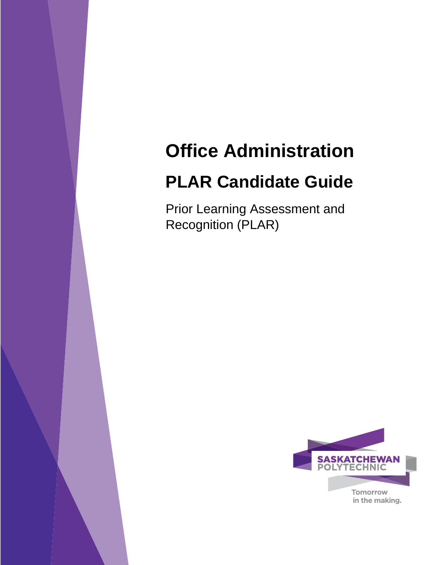# **Office Administration**

# **PLAR Candidate Guide**

Prior Learning Assessment and Recognition (PLAR)

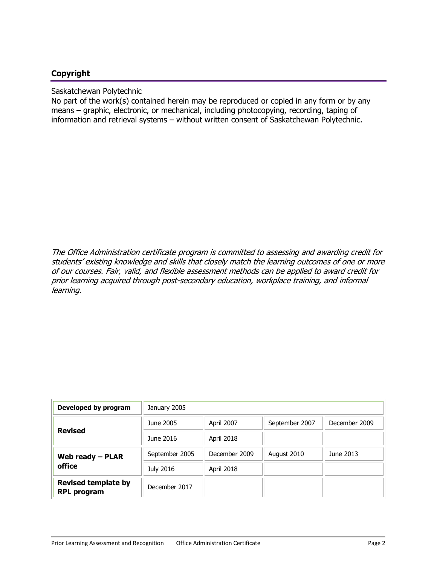# **Copyright**

Saskatchewan Polytechnic

No part of the work(s) contained herein may be reproduced or copied in any form or by any means – graphic, electronic, or mechanical, including photocopying, recording, taping of information and retrieval systems – without written consent of Saskatchewan Polytechnic.

The Office Administration certificate program is committed to assessing and awarding credit for students' existing knowledge and skills that closely match the learning outcomes of one or more of our courses. Fair, valid, and flexible assessment methods can be applied to award credit for prior learning acquired through post-secondary education, workplace training, and informal learning.

| Developed by program                             | January 2005   |               |                |               |
|--------------------------------------------------|----------------|---------------|----------------|---------------|
| <b>Revised</b>                                   | June 2005      | April 2007    | September 2007 | December 2009 |
|                                                  | June 2016      | April 2018    |                |               |
| Web ready - PLAR                                 | September 2005 | December 2009 | August 2010    | June 2013     |
| office                                           | July 2016      | April 2018    |                |               |
| <b>Revised template by</b><br><b>RPL program</b> | December 2017  |               |                |               |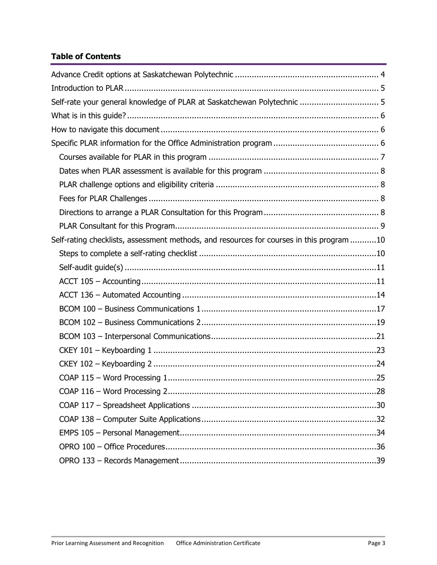# **Table of Contents**

| Self-rate your general knowledge of PLAR at Saskatchewan Polytechnic  5                  |
|------------------------------------------------------------------------------------------|
|                                                                                          |
|                                                                                          |
|                                                                                          |
|                                                                                          |
|                                                                                          |
|                                                                                          |
|                                                                                          |
|                                                                                          |
|                                                                                          |
| Self-rating checklists, assessment methods, and resources for courses in this program 10 |
|                                                                                          |
|                                                                                          |
|                                                                                          |
|                                                                                          |
|                                                                                          |
|                                                                                          |
|                                                                                          |
|                                                                                          |
|                                                                                          |
|                                                                                          |
|                                                                                          |
|                                                                                          |
|                                                                                          |
|                                                                                          |
|                                                                                          |
|                                                                                          |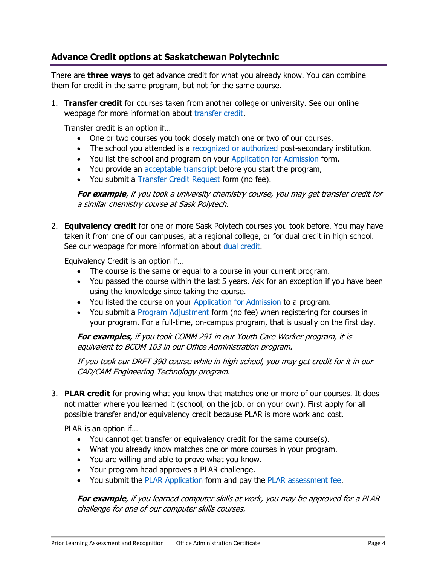# **Advance Credit options at Saskatchewan Polytechnic**

There are **three ways** to get advance credit for what you already know. You can combine them for credit in the same program, but not for the same course.

1. **Transfer credit** for courses taken from another college or university. See our online webpage for more information about [transfer credit.](http://saskpolytech.ca/admissions/resources/transfer-credit.aspx)

Transfer credit is an option if…

- <span id="page-3-0"></span>• One or two courses you took closely match one or two of our courses.
- The school you attended is a [recognized or authorized](https://www.cicic.ca/868/Search-the-Directory-of-Educational-Institutions-in-Canada/index.canada) post-secondary institution.
- You list the school and program on your [Application for Admission](http://saskpolytech.ca/admissions/resources/documents/Application-for-Admission-to-Saskatchewan-Polytechnic-Programs-Form.pdf) form.
- You provide an [acceptable transcript](http://saskpolytech.ca/admissions/resources/high-school-and-post-secondary-transcripts.aspx) before you start the program,
- You submit a [Transfer Credit Request](http://saskpolytech.ca/admissions/resources/documents/Transfer-Credit-Request-Form.pdf) form (no fee).

**For example**, if you took a university chemistry course, you may get transfer credit for a similar chemistry course at Sask Polytech.

2. **Equivalency credit** for one or more Sask Polytech courses you took before. You may have taken it from one of our campuses, at a regional college, or for dual credit in high school. See our webpage for more information about [dual credit.](http://saskpolytech.ca/admissions/resources/dual-credit.aspx)

Equivalency Credit is an option if…

- The course is the same or equal to a course in your current program.
- You passed the course within the last 5 years. Ask for an exception if you have been using the knowledge since taking the course.
- You listed the course on your [Application for Admission](http://saskpolytech.ca/admissions/apply-and-register/apply-to-a-program.aspx) to a program.
- You submit a [Program Adjustment](http://saskpolytech.ca/admissions/resources/documents/Program-Adjustment-Form.pdf) form (no fee) when registering for courses in your program. For a full-time, on-campus program, that is usually on the first day.

**For examples,** if you took COMM 291 in our Youth Care Worker program, it is equivalent to BCOM 103 in our Office Administration program.

If you took our DRFT 390 course while in high school, you may get credit for it in our CAD/CAM Engineering Technology program.

3. **PLAR credit** for proving what you know that matches one or more of our courses. It does not matter where you learned it (school, on the job, or on your own). First apply for all possible transfer and/or equivalency credit because PLAR is more work and cost.

PLAR is an option if…

- You cannot get transfer or equivalency credit for the same course(s).
- What you already know matches one or more courses in your program.
- You are willing and able to prove what you know.
- Your program head approves a PLAR challenge.
- You submit the [PLAR Application](http://saskpolytech.ca/admissions/resources/documents/plar-application-form.pdf) form and pay the [PLAR assessment fee.](https://webprod.siast.sk.ca:8000/ceroneprod/szpkplar.P_PLARInformation)

**For example**, if you learned computer skills at work, you may be approved for a PLAR challenge for one of our computer skills courses.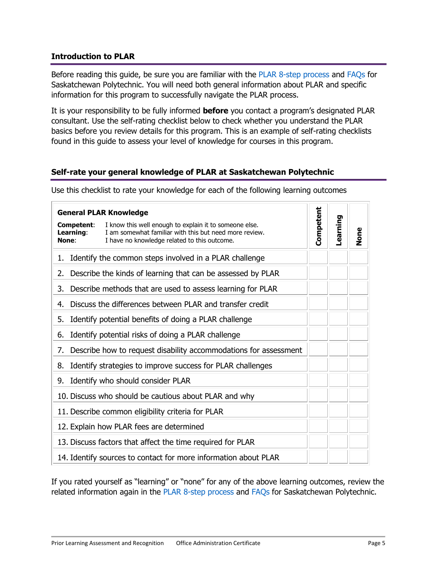# <span id="page-4-0"></span>**Introduction to PLAR**

Before reading this guide, be sure you are familiar with the [PLAR 8-step process](http://saskpolytech.ca/admissions/resources/prior-learning-process.aspx) and [FAQs](http://saskpolytech.ca/admissions/resources/prior-learning-questions.aspx) for Saskatchewan Polytechnic. You will need both general information about PLAR and specific information for this program to successfully navigate the PLAR process.

It is your responsibility to be fully informed **before** you contact a program's designated PLAR consultant. Use the self-rating checklist below to check whether you understand the PLAR basics before you review details for this program. This is an example of self-rating checklists found in this guide to assess your level of knowledge for courses in this program.

# <span id="page-4-1"></span>**Self-rate your general knowledge of PLAR at Saskatchewan Polytechnic**

Use this checklist to rate your knowledge for each of the following learning outcomes

|                                  | <b>General PLAR Knowledge</b>                                                                                                                                    |           |          |      |
|----------------------------------|------------------------------------------------------------------------------------------------------------------------------------------------------------------|-----------|----------|------|
| Competent:<br>Learning:<br>None: | I know this well enough to explain it to someone else.<br>I am somewhat familiar with this but need more review.<br>I have no knowledge related to this outcome. | Competent | Learning | None |
| 1.                               | Identify the common steps involved in a PLAR challenge                                                                                                           |           |          |      |
| 2.                               | Describe the kinds of learning that can be assessed by PLAR                                                                                                      |           |          |      |
| 3.                               | Describe methods that are used to assess learning for PLAR                                                                                                       |           |          |      |
| 4.                               | Discuss the differences between PLAR and transfer credit                                                                                                         |           |          |      |
| 5.                               | Identify potential benefits of doing a PLAR challenge                                                                                                            |           |          |      |
| 6.                               | Identify potential risks of doing a PLAR challenge                                                                                                               |           |          |      |
| 7.                               | Describe how to request disability accommodations for assessment                                                                                                 |           |          |      |
| 8.                               | Identify strategies to improve success for PLAR challenges                                                                                                       |           |          |      |
| 9.                               | Identify who should consider PLAR                                                                                                                                |           |          |      |
|                                  | 10. Discuss who should be cautious about PLAR and why                                                                                                            |           |          |      |
|                                  | 11. Describe common eligibility criteria for PLAR                                                                                                                |           |          |      |
|                                  | 12. Explain how PLAR fees are determined                                                                                                                         |           |          |      |
|                                  | 13. Discuss factors that affect the time required for PLAR                                                                                                       |           |          |      |
|                                  | 14. Identify sources to contact for more information about PLAR                                                                                                  |           |          |      |

If you rated yourself as "learning" or "none" for any of the above learning outcomes, review the related information again in the [PLAR 8-step process](http://saskpolytech.ca/admissions/resources/prior-learning-process.aspx) and [FAQs](http://saskpolytech.ca/admissions/resources/prior-learning-questions.aspx) for Saskatchewan Polytechnic.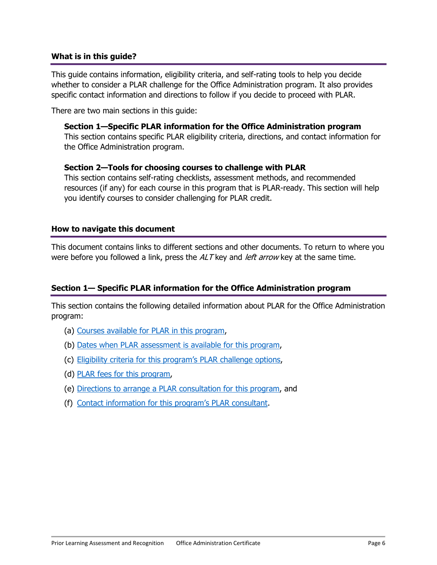## <span id="page-5-0"></span>**What is in this guide?**

This guide contains information, eligibility criteria, and self-rating tools to help you decide whether to consider a PLAR challenge for the Office Administration program. It also provides specific contact information and directions to follow if you decide to proceed with PLAR.

There are two main sections in this guide:

#### **Section 1—Specific PLAR information for the Office Administration program**

This section contains specific PLAR eligibility criteria, directions, and contact information for the Office Administration program.

#### **Section 2—Tools for choosing courses to challenge with PLAR**

<span id="page-5-1"></span>This section contains self-rating checklists, assessment methods, and recommended resources (if any) for each course in this program that is PLAR-ready. This section will help you identify courses to consider challenging for PLAR credit.

#### **How to navigate this document**

This document contains links to different sections and other documents. To return to where you were before you followed a link, press the  $ALT$  key and *left arrow* key at the same time.

## **Section 1— Specific PLAR information for the Office Administration program**

This section contains the following detailed information about PLAR for the Office Administration program:

- <span id="page-5-2"></span>(a) [Courses available for PLAR in this program,](#page-6-1)
- (b) [Dates when PLAR assessment is available for this program,](#page-7-4)
- (c) Eligibility criteria for this program's [PLAR challenge options,](#page-7-5)
- (d) PLAR fees [for this program,](#page-7-6)
- (e) [Directions to arrange a PLAR consultation for this program,](#page-7-7) and
- (f) Contact information [for this program's PLAR consultant](#page-8-1).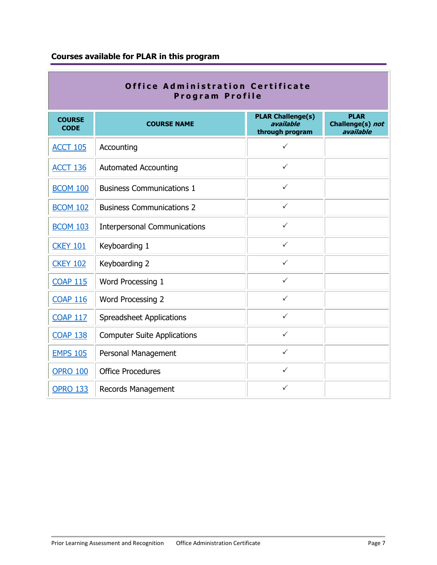# <span id="page-6-1"></span><span id="page-6-0"></span>**Courses available for PLAR in this program**

|                              | <b>Office Administration Certificate</b><br>Program Profile |                                                          |                                              |
|------------------------------|-------------------------------------------------------------|----------------------------------------------------------|----------------------------------------------|
| <b>COURSE</b><br><b>CODE</b> | <b>COURSE NAME</b>                                          | <b>PLAR Challenge(s)</b><br>available<br>through program | <b>PLAR</b><br>Challenge(s) not<br>available |
| <b>ACCT 105</b>              | Accounting                                                  | ✓                                                        |                                              |
| <b>ACCT 136</b>              | <b>Automated Accounting</b>                                 | $\checkmark$                                             |                                              |
| <b>BCOM 100</b>              | <b>Business Communications 1</b>                            | $\checkmark$                                             |                                              |
| <b>BCOM 102</b>              | <b>Business Communications 2</b>                            | $\checkmark$                                             |                                              |
| <b>BCOM 103</b>              | <b>Interpersonal Communications</b>                         | ✓                                                        |                                              |
| <b>CKEY 101</b>              | Keyboarding 1                                               | $\checkmark$                                             |                                              |
| <b>CKEY 102</b>              | Keyboarding 2                                               | $\checkmark$                                             |                                              |
| <b>COAP 115</b>              | Word Processing 1                                           | $\checkmark$                                             |                                              |
| <b>COAP 116</b>              | <b>Word Processing 2</b>                                    | $\checkmark$                                             |                                              |
| <b>COAP 117</b>              | <b>Spreadsheet Applications</b>                             | $\checkmark$                                             |                                              |
| <b>COAP 138</b>              | <b>Computer Suite Applications</b>                          | $\checkmark$                                             |                                              |
| <b>EMPS 105</b>              | Personal Management                                         | $\checkmark$                                             |                                              |
| <b>OPRO 100</b>              | <b>Office Procedures</b>                                    | $\checkmark$                                             |                                              |
| <b>OPRO 133</b>              | Records Management                                          | ✓                                                        |                                              |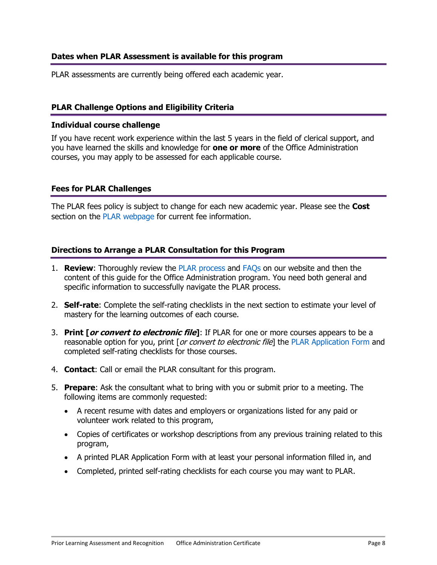# <span id="page-7-4"></span><span id="page-7-0"></span>**Dates when PLAR Assessment is available for this program**

PLAR assessments are currently being offered each academic year.

# <span id="page-7-5"></span><span id="page-7-1"></span>**PLAR Challenge Options and Eligibility Criteria**

## **Individual course challenge**

If you have recent work experience within the last 5 years in the field of clerical support, and you have learned the skills and knowledge for **one or more** of the Office Administration courses, you may apply to be assessed for each applicable course.

## <span id="page-7-6"></span><span id="page-7-2"></span>**Fees for PLAR Challenges**

The PLAR fees policy is subject to change for each new academic year. Please see the **Cost** section on the [PLAR webpage](https://saskpolytech.ca/admissions/get-credit/plar.aspx) for current fee information.

## <span id="page-7-7"></span><span id="page-7-3"></span>**Directions to Arrange a PLAR Consultation for this Program**

- 1. **Review**: Thoroughly review the [PLAR process](http://saskpolytech.ca/admissions/resources/prior-learning-process.aspx) and [FAQs](http://saskpolytech.ca/admissions/resources/prior-learning-questions.aspx) on our website and then the content of this guide for the Office Administration program. You need both general and specific information to successfully navigate the PLAR process.
- 2. **Self-rate**: Complete the self-rating checklists in the next section to estimate your level of mastery for the learning outcomes of each course.
- 3. **Print [or convert to electronic file]**: If PLAR for one or more courses appears to be a reasonable option for you, print [or convert to electronic file] the [PLAR Application Form](http://saskpolytech.ca/admissions/resources/documents/plar-application-form.pdf) and completed self-rating checklists for those courses.
- 4. **Contact**: Call or email the PLAR consultant for this program.
- 5. **Prepare**: Ask the consultant what to bring with you or submit prior to a meeting. The following items are commonly requested:
	- A recent resume with dates and employers or organizations listed for any paid or volunteer work related to this program,
	- Copies of certificates or workshop descriptions from any previous training related to this program,
	- A printed PLAR Application Form with at least your personal information filled in, and
	- Completed, printed self-rating checklists for each course you may want to PLAR.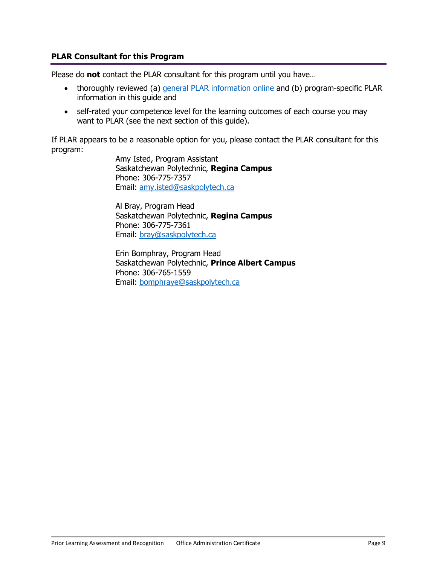## <span id="page-8-1"></span>**PLAR Consultant for this Program**

Please do **not** contact the PLAR consultant for this program until you have…

- <span id="page-8-0"></span>• thoroughly reviewed (a) [general PLAR information online](http://saskpolytech.ca/admissions/resources/prior-learning-process.aspx) and (b) program-specific PLAR information in this guide and
- self-rated your competence level for the learning outcomes of each course you may want to PLAR (see the next section of this guide).

If PLAR appears to be a reasonable option for you, please contact the PLAR consultant for this program:

> Amy Isted, Program Assistant Saskatchewan Polytechnic, **Regina Campus** Phone: 306-775-7357 Email: [amy.isted@saskpolytech.ca](mailto:amy.isted@saskpolytech.ca)

> Al Bray, Program Head Saskatchewan Polytechnic, **Regina Campus** Phone: 306-775-7361 Email: [bray@saskpolytech.ca](mailto:bray@saskpolytech.ca)

Erin Bomphray, Program Head Saskatchewan Polytechnic, **Prince Albert Campus** Phone: 306-765-1559 Email: [bomphraye@saskpolytech.ca](mailto:bomphraye@saskpolytech.ca)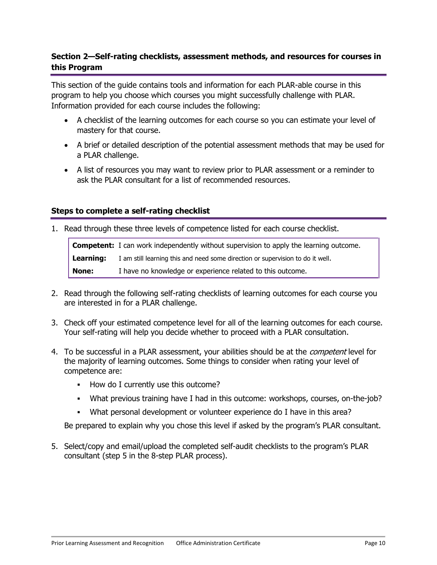# <span id="page-9-0"></span>**Section 2—Self-rating checklists, assessment methods, and resources for courses in this Program**

This section of the guide contains tools and information for each PLAR-able course in this program to help you choose which courses you might successfully challenge with PLAR. Information provided for each course includes the following:

- A checklist of the learning outcomes for each course so you can estimate your level of mastery for that course.
- A brief or detailed description of the potential assessment methods that may be used for a PLAR challenge.
- A list of resources you may want to review prior to PLAR assessment or a reminder to ask the PLAR consultant for a list of recommended resources.

# **Steps to complete a self-rating checklist**

1. Read through these three levels of competence listed for each course checklist.

<span id="page-9-1"></span>**Competent:** I can work independently without supervision to apply the learning outcome. **Learning:** I am still learning this and need some direction or supervision to do it well. **None:** I have no knowledge or experience related to this outcome.

- 2. Read through the following self-rating checklists of learning outcomes for each course you are interested in for a PLAR challenge.
- 3. Check off your estimated competence level for all of the learning outcomes for each course. Your self-rating will help you decide whether to proceed with a PLAR consultation.
- 4. To be successful in a PLAR assessment, your abilities should be at the *competent* level for the majority of learning outcomes. Some things to consider when rating your level of competence are:
	- How do I currently use this outcome?
	- What previous training have I had in this outcome: workshops, courses, on-the-job?
	- What personal development or volunteer experience do I have in this area?

Be prepared to explain why you chose this level if asked by the program's PLAR consultant.

5. Select/copy and email/upload the completed self-audit checklists to the program's PLAR consultant (step 5 in the 8-step PLAR process).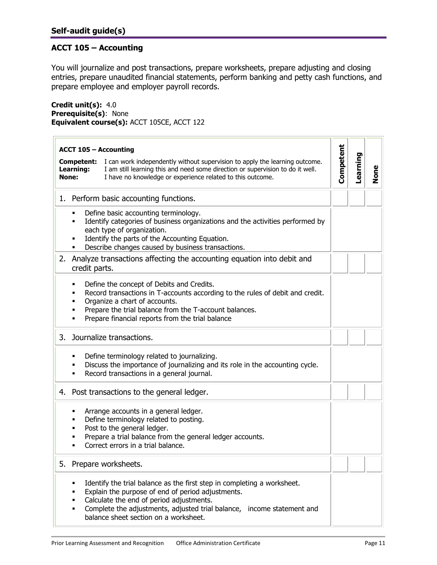# <span id="page-10-2"></span><span id="page-10-1"></span><span id="page-10-0"></span>**ACCT 105 – Accounting**

You will journalize and post transactions, prepare worksheets, prepare adjusting and closing entries, prepare unaudited financial statements, perform banking and petty cash functions, and prepare employee and employer payroll records.

**Credit unit(s):** 4.0 **Prerequisite(s)**: None **Equivalent course(s):** ACCT 105CE, ACCT 122

|    |                                  | <b>ACCT 105 - Accounting</b>                                                                                                                                                                                                                                                                |           |          |             |
|----|----------------------------------|---------------------------------------------------------------------------------------------------------------------------------------------------------------------------------------------------------------------------------------------------------------------------------------------|-----------|----------|-------------|
|    | Competent:<br>Learning:<br>None: | I can work independently without supervision to apply the learning outcome.<br>I am still learning this and need some direction or supervision to do it well.<br>I have no knowledge or experience related to this outcome.                                                                 | Competent | Learning | <b>None</b> |
|    |                                  | 1. Perform basic accounting functions.                                                                                                                                                                                                                                                      |           |          |             |
|    |                                  | Define basic accounting terminology.<br>Identify categories of business organizations and the activities performed by<br>each type of organization.<br>Identify the parts of the Accounting Equation.<br>Describe changes caused by business transactions.                                  |           |          |             |
| 2. | credit parts.                    | Analyze transactions affecting the accounting equation into debit and                                                                                                                                                                                                                       |           |          |             |
|    |                                  | Define the concept of Debits and Credits.<br>Record transactions in T-accounts according to the rules of debit and credit.<br>Organize a chart of accounts.<br>Prepare the trial balance from the T-account balances.<br>Prepare financial reports from the trial balance                   |           |          |             |
| 3. |                                  | Journalize transactions.                                                                                                                                                                                                                                                                    |           |          |             |
|    |                                  | Define terminology related to journalizing.<br>Discuss the importance of journalizing and its role in the accounting cycle.<br>Record transactions in a general journal.                                                                                                                    |           |          |             |
|    |                                  | 4. Post transactions to the general ledger.                                                                                                                                                                                                                                                 |           |          |             |
|    | ▪<br>п                           | Arrange accounts in a general ledger.<br>Define terminology related to posting.<br>Post to the general ledger.<br>Prepare a trial balance from the general ledger accounts.<br>Correct errors in a trial balance.                                                                           |           |          |             |
| 5. |                                  | Prepare worksheets.                                                                                                                                                                                                                                                                         |           |          |             |
|    | ٠                                | Identify the trial balance as the first step in completing a worksheet.<br>Explain the purpose of end of period adjustments.<br>Calculate the end of period adjustments.<br>Complete the adjustments, adjusted trial balance, income statement and<br>balance sheet section on a worksheet. |           |          |             |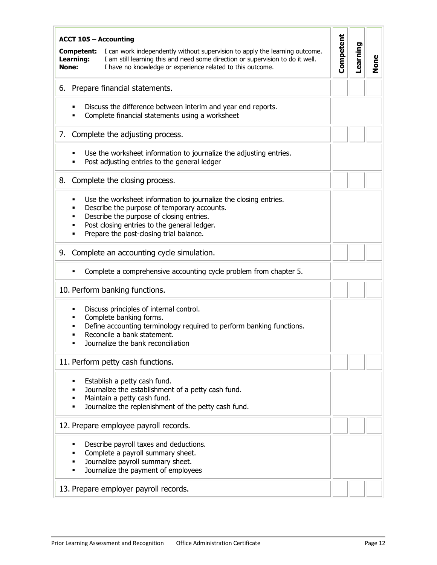| <b>ACCT 105 - Accounting</b>                                                                                                                                                                                                                                    |           |          |             |
|-----------------------------------------------------------------------------------------------------------------------------------------------------------------------------------------------------------------------------------------------------------------|-----------|----------|-------------|
| I can work independently without supervision to apply the learning outcome.<br>Competent:<br>I am still learning this and need some direction or supervision to do it well.<br>Learning:<br>I have no knowledge or experience related to this outcome.<br>None: | Competent | Learning | <b>None</b> |
| Prepare financial statements.<br>6.                                                                                                                                                                                                                             |           |          |             |
| Discuss the difference between interim and year end reports.<br>Complete financial statements using a worksheet                                                                                                                                                 |           |          |             |
| Complete the adjusting process.<br>7.                                                                                                                                                                                                                           |           |          |             |
| Use the worksheet information to journalize the adjusting entries.<br>Post adjusting entries to the general ledger                                                                                                                                              |           |          |             |
| Complete the closing process.<br>8.                                                                                                                                                                                                                             |           |          |             |
| Use the worksheet information to journalize the closing entries.<br>Describe the purpose of temporary accounts.<br>Describe the purpose of closing entries.<br>Post closing entries to the general ledger.<br>Prepare the post-closing trial balance.           |           |          |             |
| Complete an accounting cycle simulation.<br>9.                                                                                                                                                                                                                  |           |          |             |
| Complete a comprehensive accounting cycle problem from chapter 5.                                                                                                                                                                                               |           |          |             |
| 10. Perform banking functions.                                                                                                                                                                                                                                  |           |          |             |
| Discuss principles of internal control.<br>Complete banking forms.<br>Define accounting terminology required to perform banking functions.<br>Reconcile a bank statement.<br>Journalize the bank reconciliation                                                 |           |          |             |
| 11. Perform petty cash functions.                                                                                                                                                                                                                               |           |          |             |
| Establish a petty cash fund.<br>Journalize the establishment of a petty cash fund.<br>Maintain a petty cash fund.<br>Journalize the replenishment of the petty cash fund.                                                                                       |           |          |             |
| 12. Prepare employee payroll records.                                                                                                                                                                                                                           |           |          |             |
| Describe payroll taxes and deductions.<br>Complete a payroll summary sheet.<br>Journalize payroll summary sheet.<br>Journalize the payment of employees                                                                                                         |           |          |             |
| 13. Prepare employer payroll records.                                                                                                                                                                                                                           |           |          |             |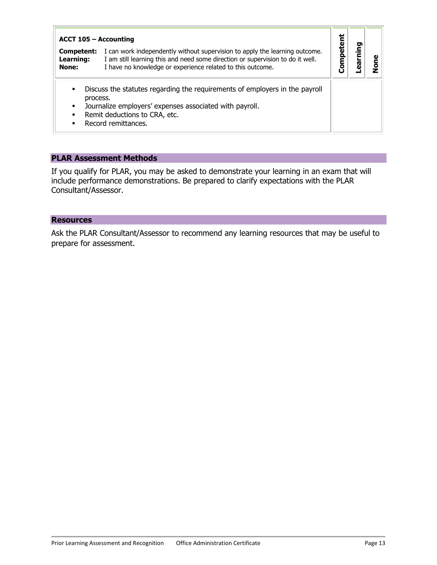| ACCT 105 - Accounting                                                            |                                                                                                                                                                                                                             |        |               |        |
|----------------------------------------------------------------------------------|-----------------------------------------------------------------------------------------------------------------------------------------------------------------------------------------------------------------------------|--------|---------------|--------|
| Competent:<br>Learning:<br>None:                                                 | I can work independently without supervision to apply the learning outcome.<br>I am still learning this and need some direction or supervision to do it well.<br>I have no knowledge or experience related to this outcome. | ō<br>٥ | Ē<br><b>r</b> | ρ<br>ݹ |
| $\blacksquare$<br>process.<br>$\blacksquare$<br>$\blacksquare$<br>$\blacksquare$ | Discuss the statutes regarding the requirements of employers in the payroll<br>Journalize employers' expenses associated with payroll.<br>Remit deductions to CRA, etc.<br>Record remittances.                              |        |               |        |

If you qualify for PLAR, you may be asked to demonstrate your learning in an exam that will include performance demonstrations. Be prepared to clarify expectations with the PLAR Consultant/Assessor.

#### **Resources**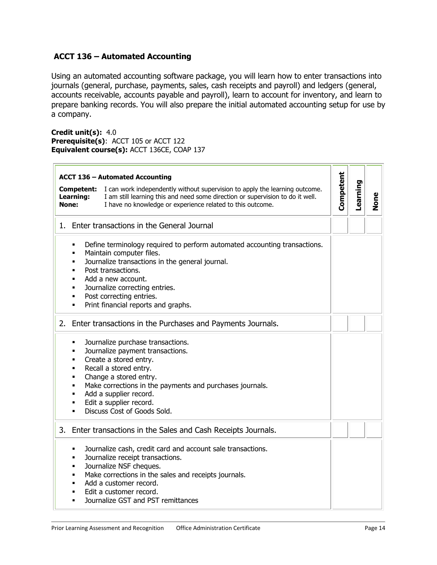# <span id="page-13-1"></span><span id="page-13-0"></span>**ACCT 136 – Automated Accounting**

Using an automated accounting software package, you will learn how to enter transactions into journals (general, purchase, payments, sales, cash receipts and payroll) and ledgers (general, accounts receivable, accounts payable and payroll), learn to account for inventory, and learn to prepare banking records. You will also prepare the initial automated accounting setup for use by a company.

**Credit unit(s):** 4.0 **Prerequisite(s)**: ACCT 105 or ACCT 122 **Equivalent course(s):** ACCT 136CE, COAP 137

| None: | <b>ACCT 136 - Automated Accounting</b><br>I can work independently without supervision to apply the learning outcome.<br><b>Competent:</b><br>I am still learning this and need some direction or supervision to do it well.<br><b>Learning:</b><br>I have no knowledge or experience related to this outcome.                                                 | Competent | Learning | None |
|-------|----------------------------------------------------------------------------------------------------------------------------------------------------------------------------------------------------------------------------------------------------------------------------------------------------------------------------------------------------------------|-----------|----------|------|
|       | 1. Enter transactions in the General Journal                                                                                                                                                                                                                                                                                                                   |           |          |      |
|       | Define terminology required to perform automated accounting transactions.<br>٠<br>Maintain computer files.<br>$\blacksquare$<br>Journalize transactions in the general journal.<br>٠<br>Post transactions.<br>٠<br>Add a new account.<br>٠<br>Journalize correcting entries.<br>٠<br>Post correcting entries.<br>٠<br>Print financial reports and graphs.<br>٠ |           |          |      |
| 2.    | Enter transactions in the Purchases and Payments Journals.                                                                                                                                                                                                                                                                                                     |           |          |      |
|       | Journalize purchase transactions.<br>٠<br>Journalize payment transactions.<br>٠<br>Create a stored entry.<br>٠<br>Recall a stored entry.<br>٠<br>Change a stored entry.<br>٠<br>Make corrections in the payments and purchases journals.<br>٠<br>Add a supplier record.<br>٠<br>Edit a supplier record.<br>٠<br>Discuss Cost of Goods Sold.<br>٠               |           |          |      |
|       | 3. Enter transactions in the Sales and Cash Receipts Journals.                                                                                                                                                                                                                                                                                                 |           |          |      |
|       | Journalize cash, credit card and account sale transactions.<br>٠<br>Journalize receipt transactions.<br>٠<br>Journalize NSF cheques.<br>٠<br>Make corrections in the sales and receipts journals.<br>٠<br>Add a customer record.<br>٠<br>Edit a customer record.<br>٠<br>Journalize GST and PST remittances<br>п                                               |           |          |      |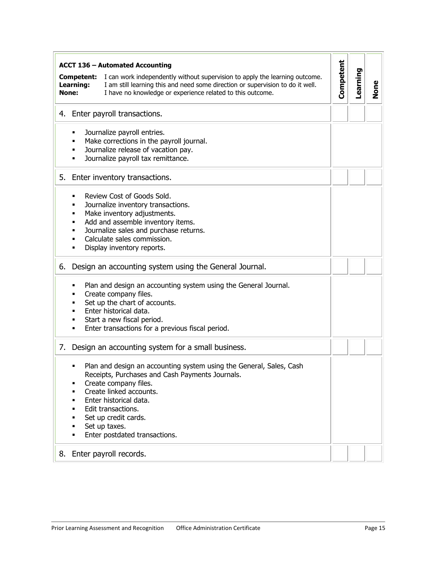| <b>ACCT 136 - Automated Accounting</b>                                                                                                                                                                                                                                                               |           |          |             |
|------------------------------------------------------------------------------------------------------------------------------------------------------------------------------------------------------------------------------------------------------------------------------------------------------|-----------|----------|-------------|
| I can work independently without supervision to apply the learning outcome.<br>Competent:<br>I am still learning this and need some direction or supervision to do it well.<br>Learning:<br>I have no knowledge or experience related to this outcome.<br>None:                                      | Competent | Learning | <b>None</b> |
| Enter payroll transactions.<br>4.                                                                                                                                                                                                                                                                    |           |          |             |
| Journalize payroll entries.<br>٠<br>Make corrections in the payroll journal.<br>Journalize release of vacation pay.<br>Journalize payroll tax remittance.<br>٠                                                                                                                                       |           |          |             |
| 5. Enter inventory transactions.                                                                                                                                                                                                                                                                     |           |          |             |
| Review Cost of Goods Sold.<br>Journalize inventory transactions.<br>▪<br>Make inventory adjustments.<br>٠<br>Add and assemble inventory items.<br>Journalize sales and purchase returns.<br>Calculate sales commission.<br>٠<br>Display inventory reports.<br>٠                                      |           |          |             |
| Design an accounting system using the General Journal.<br>6.                                                                                                                                                                                                                                         |           |          |             |
| Plan and design an accounting system using the General Journal.<br>٠<br>Create company files.<br>▪<br>Set up the chart of accounts.<br>Enter historical data.<br>Start a new fiscal period.<br>Enter transactions for a previous fiscal period.                                                      |           |          |             |
| Design an accounting system for a small business.<br>7.                                                                                                                                                                                                                                              |           |          |             |
| Plan and design an accounting system using the General, Sales, Cash<br>Receipts, Purchases and Cash Payments Journals.<br>Create company files.<br>Create linked accounts.<br>Enter historical data.<br>Edit transactions.<br>Set up credit cards.<br>Set up taxes.<br>Enter postdated transactions. |           |          |             |
| Enter payroll records.<br>8.                                                                                                                                                                                                                                                                         |           |          |             |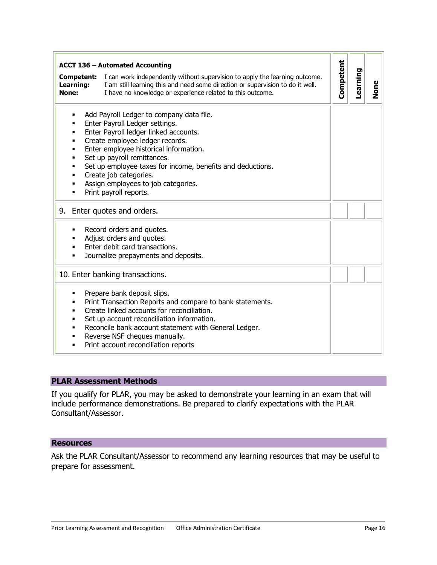| <b>ACCT 136 - Automated Accounting</b><br>I can work independently without supervision to apply the learning outcome.<br><b>Competent:</b><br>Learning:<br>I am still learning this and need some direction or supervision to do it well.<br>None:<br>I have no knowledge or experience related to this outcome.                                                                                             | Competent<br>Learning | None |
|--------------------------------------------------------------------------------------------------------------------------------------------------------------------------------------------------------------------------------------------------------------------------------------------------------------------------------------------------------------------------------------------------------------|-----------------------|------|
| Add Payroll Ledger to company data file.<br>Enter Payroll Ledger settings.<br>Enter Payroll ledger linked accounts.<br>Create employee ledger records.<br>٠<br>Enter employee historical information.<br>٠<br>Set up payroll remittances.<br>٠<br>Set up employee taxes for income, benefits and deductions.<br>Create job categories.<br>٠<br>Assign employees to job categories.<br>Print payroll reports. |                       |      |
| 9. Enter quotes and orders.                                                                                                                                                                                                                                                                                                                                                                                  |                       |      |
| Record orders and quotes.<br>Adjust orders and quotes.<br>Enter debit card transactions.<br>٠<br>Journalize prepayments and deposits.<br>٠                                                                                                                                                                                                                                                                   |                       |      |
| 10. Enter banking transactions.                                                                                                                                                                                                                                                                                                                                                                              |                       |      |
| Prepare bank deposit slips.<br>Print Transaction Reports and compare to bank statements.<br>Create linked accounts for reconciliation.<br>٠<br>Set up account reconciliation information.<br>Reconcile bank account statement with General Ledger.<br>٠<br>Reverse NSF cheques manually.<br>٠<br>Print account reconciliation reports<br>٠                                                                   |                       |      |

If you qualify for PLAR, you may be asked to demonstrate your learning in an exam that will include performance demonstrations. Be prepared to clarify expectations with the PLAR Consultant/Assessor.

#### **Resources**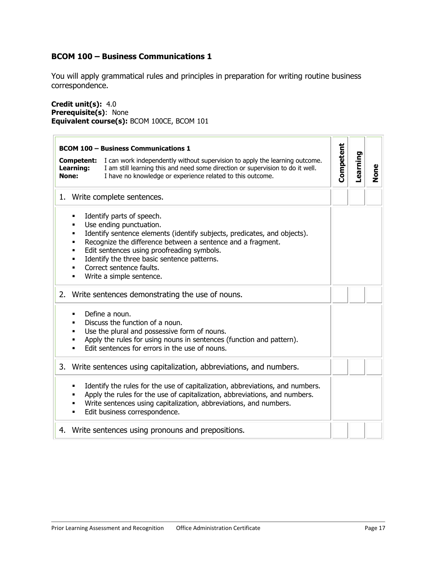# <span id="page-16-1"></span><span id="page-16-0"></span>**BCOM 100 – Business Communications 1**

You will apply grammatical rules and principles in preparation for writing routine business correspondence.

**Credit unit(s):** 4.0 **Prerequisite(s)**: None **Equivalent course(s):** BCOM 100CE, BCOM 101

| <b>BCOM 100 - Business Communications 1</b>                                                                                                                                                                                                                                                                                                                         |           |          |      |
|---------------------------------------------------------------------------------------------------------------------------------------------------------------------------------------------------------------------------------------------------------------------------------------------------------------------------------------------------------------------|-----------|----------|------|
| I can work independently without supervision to apply the learning outcome.<br>Competent:<br>Learning:<br>I am still learning this and need some direction or supervision to do it well.<br>None:<br>I have no knowledge or experience related to this outcome.                                                                                                     | Competent | Learning | None |
| 1. Write complete sentences.                                                                                                                                                                                                                                                                                                                                        |           |          |      |
| Identify parts of speech.<br>٠<br>Use ending punctuation.<br>Identify sentence elements (identify subjects, predicates, and objects).<br>Recognize the difference between a sentence and a fragment.<br>п<br>Edit sentences using proofreading symbols.<br>Identify the three basic sentence patterns.<br>٠<br>Correct sentence faults.<br>Write a simple sentence. |           |          |      |
| 2. Write sentences demonstrating the use of nouns.                                                                                                                                                                                                                                                                                                                  |           |          |      |
| Define a noun.<br>Discuss the function of a noun.<br>Use the plural and possessive form of nouns.<br>Apply the rules for using nouns in sentences (function and pattern).<br>Edit sentences for errors in the use of nouns.                                                                                                                                         |           |          |      |
| 3.<br>Write sentences using capitalization, abbreviations, and numbers.                                                                                                                                                                                                                                                                                             |           |          |      |
| Identify the rules for the use of capitalization, abbreviations, and numbers.<br>٠<br>Apply the rules for the use of capitalization, abbreviations, and numbers.<br>Write sentences using capitalization, abbreviations, and numbers.<br>▪<br>Edit business correspondence.                                                                                         |           |          |      |
| Write sentences using pronouns and prepositions.<br>4.                                                                                                                                                                                                                                                                                                              |           |          |      |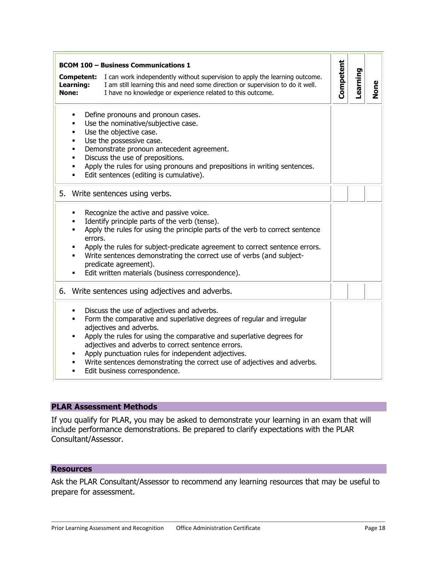| Competent:<br>Learning:<br>None: | I can work independently without supervision to apply the learning outcome.<br>I am still learning this and need some direction or supervision to do it well.<br>I have no knowledge or experience related to this outcome.                                                                                                                                                                                                                       | Competent | Learning | <b>None</b> |
|----------------------------------|---------------------------------------------------------------------------------------------------------------------------------------------------------------------------------------------------------------------------------------------------------------------------------------------------------------------------------------------------------------------------------------------------------------------------------------------------|-----------|----------|-------------|
| ٠<br>٠<br>$\blacksquare$<br>٠    | Define pronouns and pronoun cases.<br>Use the nominative/subjective case.<br>Use the objective case.<br>Use the possessive case.<br>Demonstrate pronoun antecedent agreement.<br>Discuss the use of prepositions.<br>Apply the rules for using pronouns and prepositions in writing sentences.<br>Edit sentences (editing is cumulative).                                                                                                         |           |          |             |
| 5.                               | Write sentences using verbs.                                                                                                                                                                                                                                                                                                                                                                                                                      |           |          |             |
| ٠                                | Recognize the active and passive voice.<br>Identify principle parts of the verb (tense).<br>Apply the rules for using the principle parts of the verb to correct sentence<br>errors.<br>Apply the rules for subject-predicate agreement to correct sentence errors.<br>Write sentences demonstrating the correct use of verbs (and subject-<br>predicate agreement).<br>Edit written materials (business correspondence).                         |           |          |             |
| 6.                               | Write sentences using adjectives and adverbs.                                                                                                                                                                                                                                                                                                                                                                                                     |           |          |             |
| ٠                                | Discuss the use of adjectives and adverbs.<br>Form the comparative and superlative degrees of regular and irregular<br>adjectives and adverbs.<br>Apply the rules for using the comparative and superlative degrees for<br>adjectives and adverbs to correct sentence errors.<br>Apply punctuation rules for independent adjectives.<br>Write sentences demonstrating the correct use of adjectives and adverbs.<br>Edit business correspondence. |           |          |             |

If you qualify for PLAR, you may be asked to demonstrate your learning in an exam that will include performance demonstrations. Be prepared to clarify expectations with the PLAR Consultant/Assessor.

#### **Resources**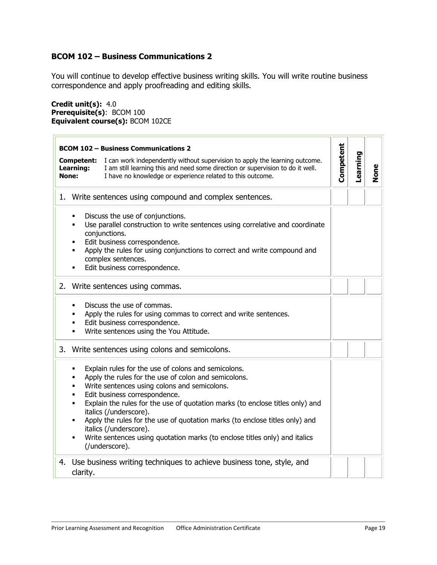# <span id="page-18-1"></span><span id="page-18-0"></span>**BCOM 102 – Business Communications 2**

You will continue to develop effective business writing skills. You will write routine business correspondence and apply proofreading and editing skills.

**Credit unit(s):** 4.0 **Prerequisite(s)**: BCOM 100 **Equivalent course(s):** BCOM 102CE

| Competent:<br>Learning:<br>None: | <b>BCOM 102 - Business Communications 2</b><br>I can work independently without supervision to apply the learning outcome.<br>I am still learning this and need some direction or supervision to do it well.<br>I have no knowledge or experience related to this outcome.                                                                                                                                                                                                                                       | Competent | Learning | <b>None</b> |
|----------------------------------|------------------------------------------------------------------------------------------------------------------------------------------------------------------------------------------------------------------------------------------------------------------------------------------------------------------------------------------------------------------------------------------------------------------------------------------------------------------------------------------------------------------|-----------|----------|-------------|
| 1.                               | Write sentences using compound and complex sentences.                                                                                                                                                                                                                                                                                                                                                                                                                                                            |           |          |             |
| ٠                                | Discuss the use of conjunctions.<br>Use parallel construction to write sentences using correlative and coordinate<br>conjunctions.<br>Edit business correspondence.<br>Apply the rules for using conjunctions to correct and write compound and<br>complex sentences.<br>Edit business correspondence.                                                                                                                                                                                                           |           |          |             |
|                                  | 2. Write sentences using commas.                                                                                                                                                                                                                                                                                                                                                                                                                                                                                 |           |          |             |
| ٠                                | Discuss the use of commas.<br>Apply the rules for using commas to correct and write sentences.<br>Edit business correspondence.<br>Write sentences using the You Attitude.                                                                                                                                                                                                                                                                                                                                       |           |          |             |
| 3.                               | Write sentences using colons and semicolons.                                                                                                                                                                                                                                                                                                                                                                                                                                                                     |           |          |             |
| ٠<br>٠<br>٠<br>٠<br>٠            | Explain rules for the use of colons and semicolons.<br>Apply the rules for the use of colon and semicolons.<br>Write sentences using colons and semicolons.<br>Edit business correspondence.<br>Explain the rules for the use of quotation marks (to enclose titles only) and<br>italics (/underscore).<br>Apply the rules for the use of quotation marks (to enclose titles only) and<br>italics (/underscore).<br>Write sentences using quotation marks (to enclose titles only) and italics<br>(/underscore). |           |          |             |
| 4.<br>clarity.                   | Use business writing techniques to achieve business tone, style, and                                                                                                                                                                                                                                                                                                                                                                                                                                             |           |          |             |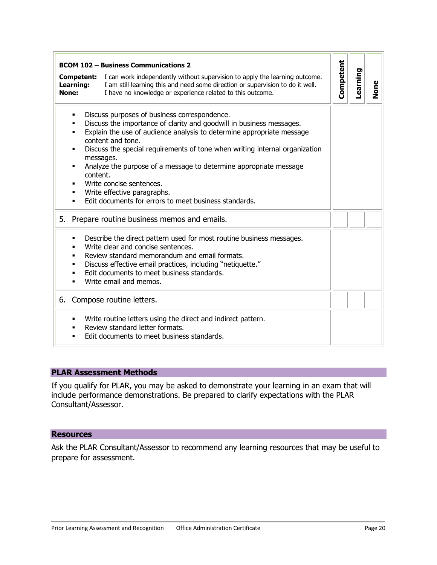|                           | <b>BCOM 102 - Business Communications 2</b>                                                                                                                                                                                                                                                                                                                                                                                                                                                             |           |          |      |
|---------------------------|---------------------------------------------------------------------------------------------------------------------------------------------------------------------------------------------------------------------------------------------------------------------------------------------------------------------------------------------------------------------------------------------------------------------------------------------------------------------------------------------------------|-----------|----------|------|
| <b>Learning:</b><br>None: | <b>Competent:</b> I can work independently without supervision to apply the learning outcome.<br>I am still learning this and need some direction or supervision to do it well.<br>I have no knowledge or experience related to this outcome.                                                                                                                                                                                                                                                           | Competent | Learning | None |
| ٠<br>content.             | Discuss purposes of business correspondence.<br>Discuss the importance of clarity and goodwill in business messages.<br>Explain the use of audience analysis to determine appropriate message<br>content and tone.<br>Discuss the special requirements of tone when writing internal organization<br>messages.<br>Analyze the purpose of a message to determine appropriate message<br>Write concise sentences.<br>Write effective paragraphs.<br>Edit documents for errors to meet business standards. |           |          |      |
| 5.                        | Prepare routine business memos and emails.                                                                                                                                                                                                                                                                                                                                                                                                                                                              |           |          |      |
|                           | Describe the direct pattern used for most routine business messages.<br>Write clear and concise sentences.<br>Review standard memorandum and email formats.<br>Discuss effective email practices, including "netiquette."<br>Edit documents to meet business standards.<br>Write email and memos.                                                                                                                                                                                                       |           |          |      |
| 6.                        | Compose routine letters.                                                                                                                                                                                                                                                                                                                                                                                                                                                                                |           |          |      |
| ٠                         | Write routine letters using the direct and indirect pattern.<br>Review standard letter formats.<br>Edit documents to meet business standards.                                                                                                                                                                                                                                                                                                                                                           |           |          |      |

If you qualify for PLAR, you may be asked to demonstrate your learning in an exam that will include performance demonstrations. Be prepared to clarify expectations with the PLAR Consultant/Assessor.

#### **Resources**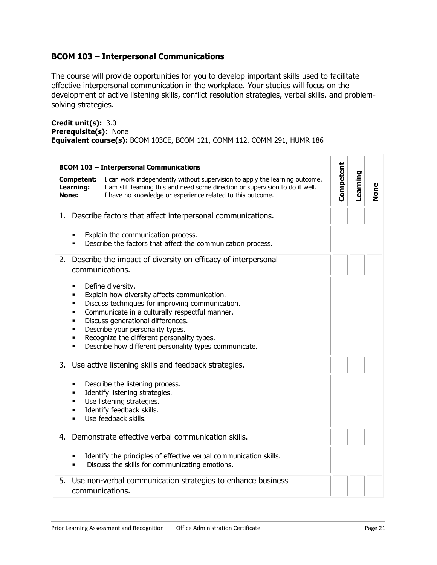# <span id="page-20-1"></span><span id="page-20-0"></span>**BCOM 103 – Interpersonal Communications**

The course will provide opportunities for you to develop important skills used to facilitate effective interpersonal communication in the workplace. Your studies will focus on the development of active listening skills, conflict resolution strategies, verbal skills, and problemsolving strategies.

**Credit unit(s):** 3.0 **Prerequisite(s)**: None **Equivalent course(s):** BCOM 103CE, BCOM 121, COMM 112, COMM 291, HUMR 186

| <b>BCOM 103 - Interpersonal Communications</b>                                                                                                                                                                                                                                                                                                                                                 |           |          |      |
|------------------------------------------------------------------------------------------------------------------------------------------------------------------------------------------------------------------------------------------------------------------------------------------------------------------------------------------------------------------------------------------------|-----------|----------|------|
| I can work independently without supervision to apply the learning outcome.<br>Competent:<br>I am still learning this and need some direction or supervision to do it well.<br>Learning:<br>None:<br>I have no knowledge or experience related to this outcome.                                                                                                                                | Competent | Learning | None |
| Describe factors that affect interpersonal communications.<br>1.                                                                                                                                                                                                                                                                                                                               |           |          |      |
| Explain the communication process.<br>Describe the factors that affect the communication process.                                                                                                                                                                                                                                                                                              |           |          |      |
| 2.<br>Describe the impact of diversity on efficacy of interpersonal<br>communications.                                                                                                                                                                                                                                                                                                         |           |          |      |
| Define diversity.<br>٠<br>Explain how diversity affects communication.<br>٠<br>Discuss techniques for improving communication.<br>٠<br>Communicate in a culturally respectful manner.<br>٠<br>Discuss generational differences.<br>٠<br>Describe your personality types.<br>٠<br>Recognize the different personality types.<br>٠<br>Describe how different personality types communicate.<br>٠ |           |          |      |
| 3. Use active listening skills and feedback strategies.                                                                                                                                                                                                                                                                                                                                        |           |          |      |
| Describe the listening process.<br>٠<br>Identify listening strategies.<br>٠<br>Use listening strategies.<br>٠<br>Identify feedback skills.<br>٠<br>Use feedback skills.<br>п                                                                                                                                                                                                                   |           |          |      |
| Demonstrate effective verbal communication skills.<br>4.                                                                                                                                                                                                                                                                                                                                       |           |          |      |
| Identify the principles of effective verbal communication skills.<br>Discuss the skills for communicating emotions.                                                                                                                                                                                                                                                                            |           |          |      |
| 5.<br>Use non-verbal communication strategies to enhance business<br>communications.                                                                                                                                                                                                                                                                                                           |           |          |      |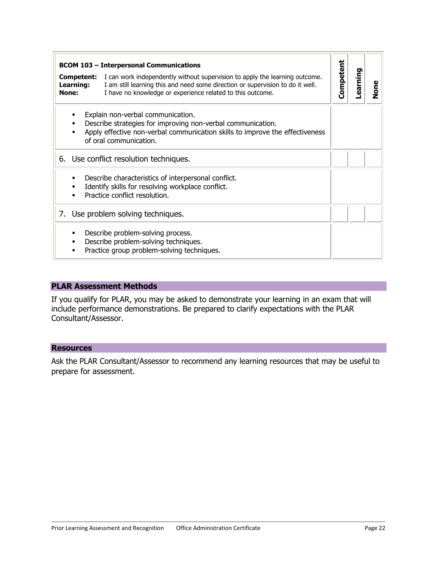| <b>BCOM 103 - Interpersonal Communications</b> |                                                                                                                                                                                                                             |           |         |      |
|------------------------------------------------|-----------------------------------------------------------------------------------------------------------------------------------------------------------------------------------------------------------------------------|-----------|---------|------|
| Competent:<br>Learning:<br>None:               | I can work independently without supervision to apply the learning outcome.<br>I am still learning this and need some direction or supervision to do it well.<br>I have no knowledge or experience related to this outcome. | Competent | earning | None |
|                                                | Explain non-verbal communication.<br>Describe strategies for improving non-verbal communication.<br>Apply effective non-verbal communication skills to improve the effectiveness<br>of oral communication.                  |           |         |      |
|                                                | 6. Use conflict resolution techniques.                                                                                                                                                                                      |           |         |      |
| п<br>▪                                         | Describe characteristics of interpersonal conflict.<br>Identify skills for resolving workplace conflict.<br>Practice conflict resolution.                                                                                   |           |         |      |
|                                                | 7. Use problem solving techniques.                                                                                                                                                                                          |           |         |      |
|                                                | Describe problem-solving process.<br>Describe problem-solving techniques.<br>Practice group problem-solving techniques.                                                                                                     |           |         |      |

If you qualify for PLAR, you may be asked to demonstrate your learning in an exam that will include performance demonstrations. Be prepared to clarify expectations with the PLAR Consultant/Assessor.

#### **Resources**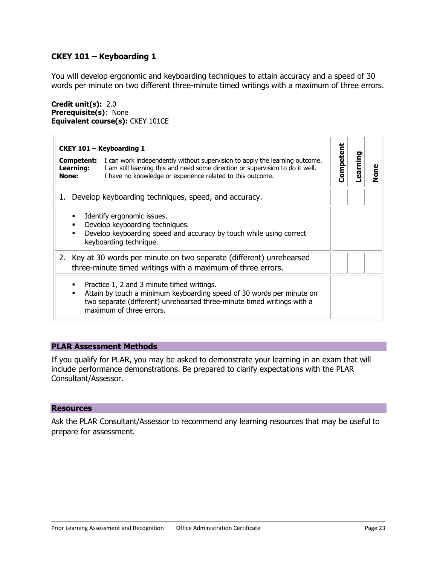# <span id="page-22-1"></span><span id="page-22-0"></span>**CKEY 101 – Keyboarding 1**

You will develop ergonomic and keyboarding techniques to attain accuracy and a speed of 30 words per minute on two different three-minute timed writings with a maximum of three errors.

#### **Credit unit(s):** 2.0 **Prerequisite(s)**: None **Equivalent course(s):** CKEY 101CE

| CKEY 101 - Keyboarding 1                                                                                                                                                                                                                                                      |           |         |      |
|-------------------------------------------------------------------------------------------------------------------------------------------------------------------------------------------------------------------------------------------------------------------------------|-----------|---------|------|
| Competent:<br>I can work independently without supervision to apply the learning outcome.<br><b>Learning:</b><br>I am still learning this and need some direction or supervision to do it well.<br>I have no knowledge or experience related to this outcome.<br><b>None:</b> | Competent | earning | None |
| Develop keyboarding techniques, speed, and accuracy.<br>1.                                                                                                                                                                                                                    |           |         |      |
| Identify ergonomic issues.<br>Develop keyboarding techniques.<br>٠<br>Develop keyboarding speed and accuracy by touch while using correct<br>٠<br>keyboarding technique.                                                                                                      |           |         |      |
| 2. Key at 30 words per minute on two separate (different) unrehearsed<br>three-minute timed writings with a maximum of three errors.                                                                                                                                          |           |         |      |
| Practice 1, 2 and 3 minute timed writings.<br>٠<br>Attain by touch a minimum keyboarding speed of 30 words per minute on<br>٠<br>two separate (different) unrehearsed three-minute timed writings with a<br>maximum of three errors.                                          |           |         |      |

#### **PLAR Assessment Methods**

If you qualify for PLAR, you may be asked to demonstrate your learning in an exam that will include performance demonstrations. Be prepared to clarify expectations with the PLAR Consultant/Assessor.

#### **Resources**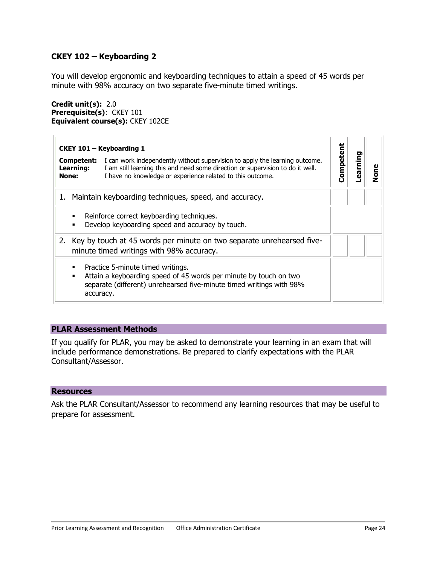# <span id="page-23-1"></span><span id="page-23-0"></span>**CKEY 102 – Keyboarding 2**

You will develop ergonomic and keyboarding techniques to attain a speed of 45 words per minute with 98% accuracy on two separate five-minute timed writings.

#### **Credit unit(s):** 2.0 **Prerequisite(s)**: CKEY 101 **Equivalent course(s):** CKEY 102CE

|                                         | CKEY 101 - Keyboarding 1                                                                                                                                                                                                    |          | o     |      |
|-----------------------------------------|-----------------------------------------------------------------------------------------------------------------------------------------------------------------------------------------------------------------------------|----------|-------|------|
| Competent:<br>Learning:<br><b>None:</b> | I can work independently without supervision to apply the learning outcome.<br>I am still learning this and need some direction or supervision to do it well.<br>I have no knowledge or experience related to this outcome. | Competen | armin | None |
| 1.                                      | Maintain keyboarding techniques, speed, and accuracy.                                                                                                                                                                       |          |       |      |
| ٠<br>$\blacksquare$                     | Reinforce correct keyboarding techniques.<br>Develop keyboarding speed and accuracy by touch.                                                                                                                               |          |       |      |
|                                         | 2. Key by touch at 45 words per minute on two separate unrehearsed five-<br>minute timed writings with 98% accuracy.                                                                                                        |          |       |      |
| ٠<br>accuracy.                          | Practice 5-minute timed writings.<br>Attain a keyboarding speed of 45 words per minute by touch on two<br>separate (different) unrehearsed five-minute timed writings with 98%                                              |          |       |      |

# **PLAR Assessment Methods**

If you qualify for PLAR, you may be asked to demonstrate your learning in an exam that will include performance demonstrations. Be prepared to clarify expectations with the PLAR Consultant/Assessor.

#### **Resources**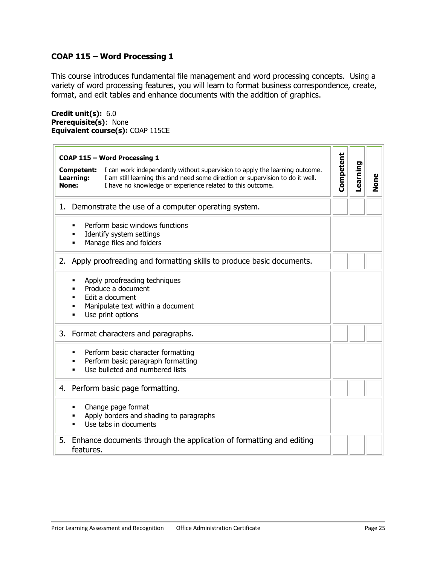# <span id="page-24-1"></span><span id="page-24-0"></span>**COAP 115 – Word Processing 1**

This course introduces fundamental file management and word processing concepts. Using a variety of word processing features, you will learn to format business correspondence, create, format, and edit tables and enhance documents with the addition of graphics.

**Credit unit(s):** 6.0 **Prerequisite(s)**: None **Equivalent course(s):** COAP 115CE

| COAP 115 - Word Processing 1                                                                                                                                                                                                                                    |           |          |      |
|-----------------------------------------------------------------------------------------------------------------------------------------------------------------------------------------------------------------------------------------------------------------|-----------|----------|------|
| I can work independently without supervision to apply the learning outcome.<br>Competent:<br>I am still learning this and need some direction or supervision to do it well.<br>Learning:<br>None:<br>I have no knowledge or experience related to this outcome. | Competent | Learning | None |
| Demonstrate the use of a computer operating system.<br>1.                                                                                                                                                                                                       |           |          |      |
| Perform basic windows functions<br>٠<br>Identify system settings<br>Manage files and folders<br>٠                                                                                                                                                               |           |          |      |
| Apply proofreading and formatting skills to produce basic documents.<br>2.                                                                                                                                                                                      |           |          |      |
| Apply proofreading techniques<br>٠<br>Produce a document<br>п<br>Edit a document<br>٠<br>Manipulate text within a document<br>Use print options<br>٠                                                                                                            |           |          |      |
| 3. Format characters and paragraphs.                                                                                                                                                                                                                            |           |          |      |
| Perform basic character formatting<br>٠<br>Perform basic paragraph formatting<br>٠<br>Use bulleted and numbered lists<br>$\blacksquare$                                                                                                                         |           |          |      |
| Perform basic page formatting.<br>4.                                                                                                                                                                                                                            |           |          |      |
| Change page format<br>Apply borders and shading to paragraphs<br>Use tabs in documents                                                                                                                                                                          |           |          |      |
| 5.<br>Enhance documents through the application of formatting and editing<br>features.                                                                                                                                                                          |           |          |      |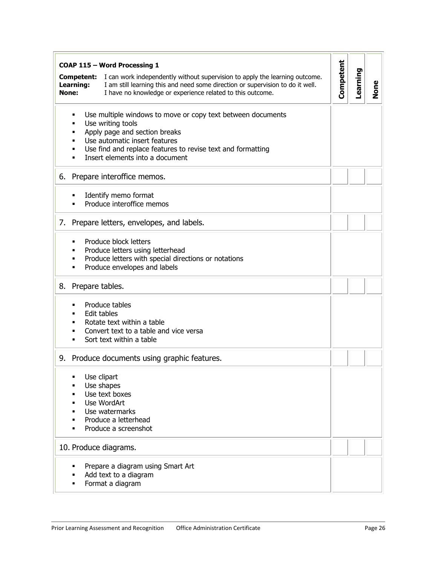| COAP 115 - Word Processing 1                                                                                                                                                                                                                                                       |           |          |             |
|------------------------------------------------------------------------------------------------------------------------------------------------------------------------------------------------------------------------------------------------------------------------------------|-----------|----------|-------------|
| I can work independently without supervision to apply the learning outcome.<br>Competent:<br>I am still learning this and need some direction or supervision to do it well.<br>Learning:<br>None:<br>I have no knowledge or experience related to this outcome.                    | Competent | Learning | <b>None</b> |
| Use multiple windows to move or copy text between documents<br>٠<br>Use writing tools<br>٠<br>Apply page and section breaks<br>٠<br>Use automatic insert features<br>٠<br>Use find and replace features to revise text and formatting<br>٠<br>Insert elements into a document<br>٠ |           |          |             |
| 6. Prepare interoffice memos.                                                                                                                                                                                                                                                      |           |          |             |
| Identify memo format<br>Produce interoffice memos                                                                                                                                                                                                                                  |           |          |             |
| 7. Prepare letters, envelopes, and labels.                                                                                                                                                                                                                                         |           |          |             |
| Produce block letters<br>٠<br>Produce letters using letterhead<br>٠<br>Produce letters with special directions or notations<br>٠<br>Produce envelopes and labels<br>٠                                                                                                              |           |          |             |
| 8. Prepare tables.                                                                                                                                                                                                                                                                 |           |          |             |
| Produce tables<br><b>Edit tables</b><br>Rotate text within a table<br>Convert text to a table and vice versa<br>Sort text within a table<br>п                                                                                                                                      |           |          |             |
| 9. Produce documents using graphic features.                                                                                                                                                                                                                                       |           |          |             |
| Use clipart<br>п<br>Use shapes<br>Use text boxes<br>Use WordArt<br>Use watermarks<br>Produce a letterhead<br>Produce a screenshot                                                                                                                                                  |           |          |             |
| 10. Produce diagrams.                                                                                                                                                                                                                                                              |           |          |             |
| Prepare a diagram using Smart Art<br>٠<br>Add text to a diagram<br>٠<br>Format a diagram<br>٠                                                                                                                                                                                      |           |          |             |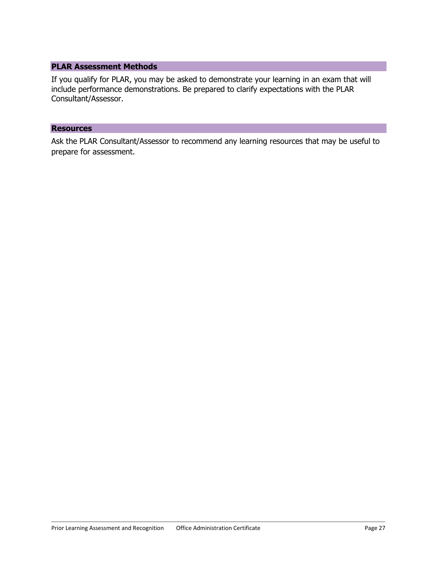If you qualify for PLAR, you may be asked to demonstrate your learning in an exam that will include performance demonstrations. Be prepared to clarify expectations with the PLAR Consultant/Assessor.

#### **Resources**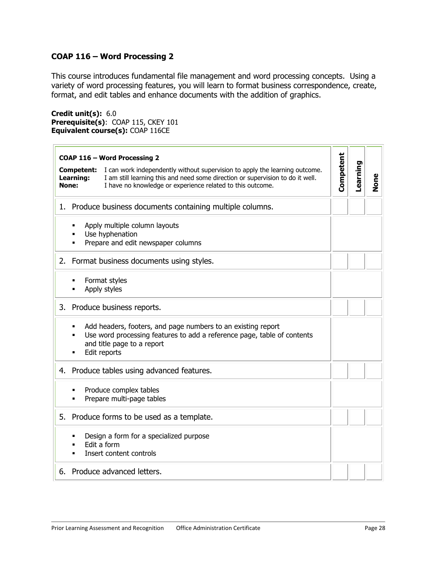# <span id="page-27-1"></span><span id="page-27-0"></span>**COAP 116 – Word Processing 2**

This course introduces fundamental file management and word processing concepts. Using a variety of word processing features, you will learn to format business correspondence, create, format, and edit tables and enhance documents with the addition of graphics.

**Credit unit(s):** 6.0 **Prerequisite(s)**: COAP 115, CKEY 101 **Equivalent course(s):** COAP 116CE

|                                  | COAP 116 - Word Processing 2                                                                                                                                                                                                |           |          |      |
|----------------------------------|-----------------------------------------------------------------------------------------------------------------------------------------------------------------------------------------------------------------------------|-----------|----------|------|
| Competent:<br>Learning:<br>None: | I can work independently without supervision to apply the learning outcome.<br>I am still learning this and need some direction or supervision to do it well.<br>I have no knowledge or experience related to this outcome. | Competent | Learning | None |
|                                  | 1. Produce business documents containing multiple columns.                                                                                                                                                                  |           |          |      |
| ٠                                | Apply multiple column layouts<br>Use hyphenation<br>Prepare and edit newspaper columns                                                                                                                                      |           |          |      |
|                                  | 2. Format business documents using styles.                                                                                                                                                                                  |           |          |      |
|                                  | Format styles<br>Apply styles                                                                                                                                                                                               |           |          |      |
|                                  | 3. Produce business reports.                                                                                                                                                                                                |           |          |      |
| ٠                                | Add headers, footers, and page numbers to an existing report<br>Use word processing features to add a reference page, table of contents<br>and title page to a report<br>Edit reports                                       |           |          |      |
| 4.                               | Produce tables using advanced features.                                                                                                                                                                                     |           |          |      |
| ٠                                | Produce complex tables<br>Prepare multi-page tables                                                                                                                                                                         |           |          |      |
|                                  | 5. Produce forms to be used as a template.                                                                                                                                                                                  |           |          |      |
| ٠<br>П                           | Design a form for a specialized purpose<br>Edit a form<br>Insert content controls                                                                                                                                           |           |          |      |
| 6.                               | Produce advanced letters.                                                                                                                                                                                                   |           |          |      |
|                                  |                                                                                                                                                                                                                             |           |          |      |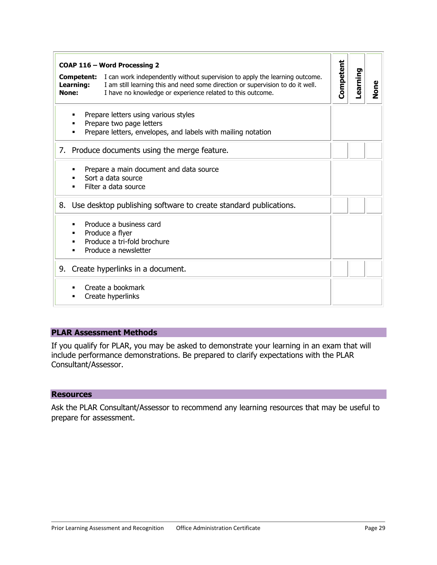|                                         | COAP 116 - Word Processing 2                                                                                                                                                                                                |           |          |             |  |  |
|-----------------------------------------|-----------------------------------------------------------------------------------------------------------------------------------------------------------------------------------------------------------------------------|-----------|----------|-------------|--|--|
| <b>Competent:</b><br>Learning:<br>None: | I can work independently without supervision to apply the learning outcome.<br>I am still learning this and need some direction or supervision to do it well.<br>I have no knowledge or experience related to this outcome. | Competent | Learning | <b>None</b> |  |  |
|                                         | Prepare letters using various styles<br>Prepare two page letters<br>Prepare letters, envelopes, and labels with mailing notation                                                                                            |           |          |             |  |  |
| 7.                                      | Produce documents using the merge feature.                                                                                                                                                                                  |           |          |             |  |  |
|                                         | Prepare a main document and data source<br>Sort a data source<br>Filter a data source                                                                                                                                       |           |          |             |  |  |
| 8.                                      | Use desktop publishing software to create standard publications.                                                                                                                                                            |           |          |             |  |  |
|                                         | Produce a business card<br>Produce a flyer<br>Produce a tri-fold brochure<br>Produce a newsletter                                                                                                                           |           |          |             |  |  |
| 9.                                      | Create hyperlinks in a document.                                                                                                                                                                                            |           |          |             |  |  |
|                                         | Create a bookmark<br>Create hyperlinks                                                                                                                                                                                      |           |          |             |  |  |

If you qualify for PLAR, you may be asked to demonstrate your learning in an exam that will include performance demonstrations. Be prepared to clarify expectations with the PLAR Consultant/Assessor.

#### **Resources**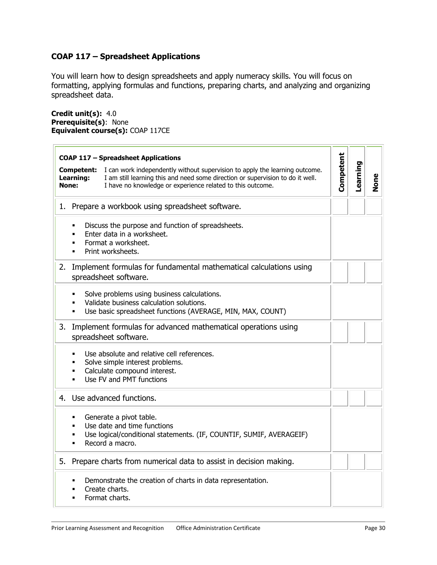# <span id="page-29-1"></span><span id="page-29-0"></span>**COAP 117 – Spreadsheet Applications**

You will learn how to design spreadsheets and apply numeracy skills. You will focus on formatting, applying formulas and functions, preparing charts, and analyzing and organizing spreadsheet data.

**Credit unit(s):** 4.0 **Prerequisite(s)**: None **Equivalent course(s):** COAP 117CE

| <b>COAP 117 - Spreadsheet Applications</b><br>I can work independently without supervision to apply the learning outcome.<br>Competent:<br>Learning:<br>I am still learning this and need some direction or supervision to do it well.<br>None:<br>I have no knowledge or experience related to this outcome. | Competent | Learning | None |
|---------------------------------------------------------------------------------------------------------------------------------------------------------------------------------------------------------------------------------------------------------------------------------------------------------------|-----------|----------|------|
| Prepare a workbook using spreadsheet software.<br>1.                                                                                                                                                                                                                                                          |           |          |      |
| Discuss the purpose and function of spreadsheets.<br>٠<br>Enter data in a worksheet.<br>п<br>Format a worksheet.<br>٠<br>Print worksheets.<br>$\blacksquare$                                                                                                                                                  |           |          |      |
| 2.<br>Implement formulas for fundamental mathematical calculations using<br>spreadsheet software.                                                                                                                                                                                                             |           |          |      |
| Solve problems using business calculations.<br>$\blacksquare$<br>Validate business calculation solutions.<br>Use basic spreadsheet functions (AVERAGE, MIN, MAX, COUNT)<br>٠                                                                                                                                  |           |          |      |
| 3.<br>Implement formulas for advanced mathematical operations using<br>spreadsheet software.                                                                                                                                                                                                                  |           |          |      |
| Use absolute and relative cell references.<br>$\blacksquare$<br>Solve simple interest problems.<br>٠<br>Calculate compound interest.<br>٠<br>Use FV and PMT functions<br>٠                                                                                                                                    |           |          |      |
| 4. Use advanced functions.                                                                                                                                                                                                                                                                                    |           |          |      |
| Generate a pivot table.<br>٠<br>Use date and time functions<br>٠<br>Use logical/conditional statements. (IF, COUNTIF, SUMIF, AVERAGEIF)<br>٠<br>Record a macro.<br>٠                                                                                                                                          |           |          |      |
| 5. Prepare charts from numerical data to assist in decision making.                                                                                                                                                                                                                                           |           |          |      |
| Demonstrate the creation of charts in data representation.<br>٠<br>Create charts.<br>Format charts.<br>п                                                                                                                                                                                                      |           |          |      |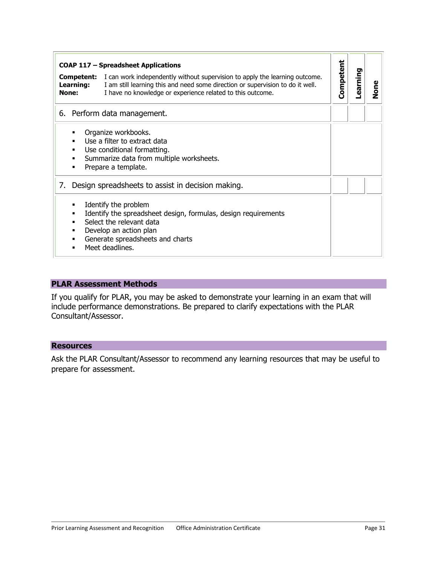|       | <b>COAP 117 - Spreadsheet Applications</b>                                                                                                                      |                                                                                                                                                                                                                             |           |          |      |
|-------|-----------------------------------------------------------------------------------------------------------------------------------------------------------------|-----------------------------------------------------------------------------------------------------------------------------------------------------------------------------------------------------------------------------|-----------|----------|------|
| None: | Competent:<br>Learning:                                                                                                                                         | I can work independently without supervision to apply the learning outcome.<br>I am still learning this and need some direction or supervision to do it well.<br>I have no knowledge or experience related to this outcome. | Competent | Learning | None |
|       |                                                                                                                                                                 | 6. Perform data management.                                                                                                                                                                                                 |           |          |      |
|       | Organize workbooks.<br>Use a filter to extract data<br>Use conditional formatting.<br>Summarize data from multiple worksheets.<br>٠<br>Prepare a template.<br>٠ |                                                                                                                                                                                                                             |           |          |      |
| 7.    |                                                                                                                                                                 | Design spreadsheets to assist in decision making.                                                                                                                                                                           |           |          |      |
|       | ٠                                                                                                                                                               | Identify the problem<br>Identify the spreadsheet design, formulas, design requirements<br>Select the relevant data<br>Develop an action plan<br>Generate spreadsheets and charts<br>Meet deadlines.                         |           |          |      |

If you qualify for PLAR, you may be asked to demonstrate your learning in an exam that will include performance demonstrations. Be prepared to clarify expectations with the PLAR Consultant/Assessor.

# **Resources**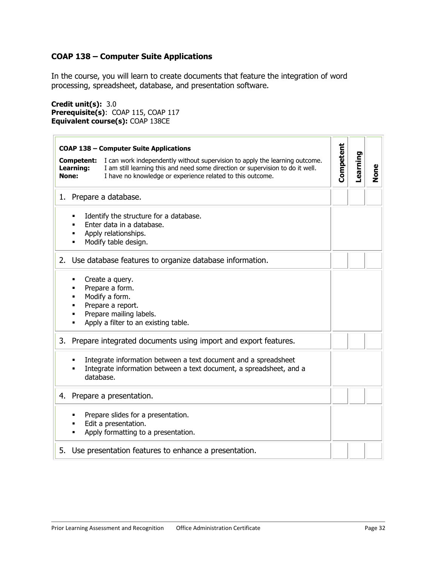# <span id="page-31-1"></span><span id="page-31-0"></span>**COAP 138 – Computer Suite Applications**

In the course, you will learn to create documents that feature the integration of word processing, spreadsheet, database, and presentation software.

**Credit unit(s):** 3.0 **Prerequisite(s)**: COAP 115, COAP 117 **Equivalent course(s):** COAP 138CE

| <b>COAP 138 - Computer Suite Applications</b>                                                                                                                                                                                                                   |           |          |      |
|-----------------------------------------------------------------------------------------------------------------------------------------------------------------------------------------------------------------------------------------------------------------|-----------|----------|------|
| I can work independently without supervision to apply the learning outcome.<br>Competent:<br>Learning:<br>I am still learning this and need some direction or supervision to do it well.<br>I have no knowledge or experience related to this outcome.<br>None: | Competent | Learning | None |
| 1. Prepare a database.                                                                                                                                                                                                                                          |           |          |      |
| Identify the structure for a database.<br>Enter data in a database.<br>Apply relationships.<br>Modify table design.                                                                                                                                             |           |          |      |
| 2. Use database features to organize database information.                                                                                                                                                                                                      |           |          |      |
| Create a query.<br>٠<br>Prepare a form.<br>Modify a form.<br>Prepare a report.<br>Prepare mailing labels.<br>Apply a filter to an existing table.                                                                                                               |           |          |      |
| Prepare integrated documents using import and export features.<br>3.                                                                                                                                                                                            |           |          |      |
| Integrate information between a text document and a spreadsheet<br>Integrate information between a text document, a spreadsheet, and a<br>database.                                                                                                             |           |          |      |
| 4. Prepare a presentation.                                                                                                                                                                                                                                      |           |          |      |
| Prepare slides for a presentation.<br>Edit a presentation.<br>Apply formatting to a presentation.                                                                                                                                                               |           |          |      |
| Use presentation features to enhance a presentation.<br>5.                                                                                                                                                                                                      |           |          |      |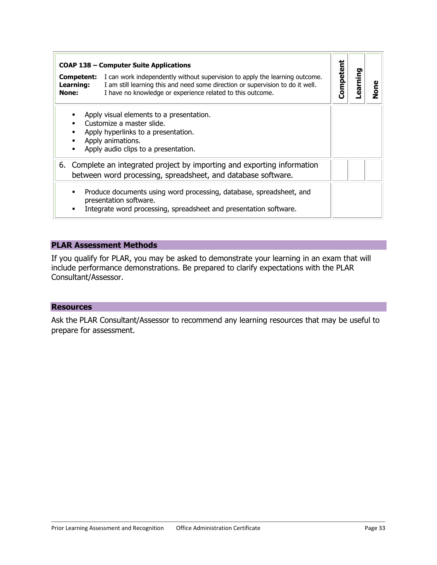|                           | <b>COAP 138 – Computer Suite Applications</b>                                                                                                                                                                                                 |           |        |      |
|---------------------------|-----------------------------------------------------------------------------------------------------------------------------------------------------------------------------------------------------------------------------------------------|-----------|--------|------|
| <b>Learning:</b><br>None: | <b>Competent:</b> I can work independently without supervision to apply the learning outcome.<br>I am still learning this and need some direction or supervision to do it well.<br>I have no knowledge or experience related to this outcome. | Competent | earnin | None |
| ٠                         | Apply visual elements to a presentation.<br>Customize a master slide.<br>Apply hyperlinks to a presentation.<br>Apply animations.<br>Apply audio clips to a presentation.                                                                     |           |        |      |
| 6.                        | Complete an integrated project by importing and exporting information<br>between word processing, spreadsheet, and database software.                                                                                                         |           |        |      |
| ٠<br>٠                    | Produce documents using word processing, database, spreadsheet, and<br>presentation software.<br>Integrate word processing, spreadsheet and presentation software.                                                                            |           |        |      |

If you qualify for PLAR, you may be asked to demonstrate your learning in an exam that will include performance demonstrations. Be prepared to clarify expectations with the PLAR Consultant/Assessor.

#### **Resources**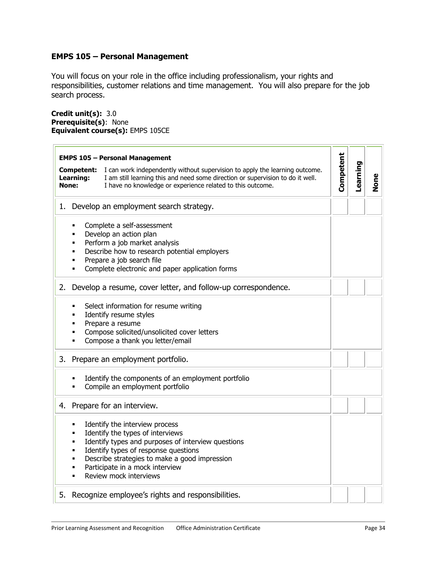# <span id="page-33-1"></span><span id="page-33-0"></span>**EMPS 105 – Personal Management**

You will focus on your role in the office including professionalism, your rights and responsibilities, customer relations and time management. You will also prepare for the job search process.

**Credit unit(s):** 3.0 **Prerequisite(s)**: None **Equivalent course(s):** EMPS 105CE

| <b>EMPS 105 - Personal Management</b><br><b>Competent:</b><br>I can work independently without supervision to apply the learning outcome.<br>Learning:<br>I am still learning this and need some direction or supervision to do it well.<br>I have no knowledge or experience related to this outcome.<br>None:   | Competent | Learning | None |
|-------------------------------------------------------------------------------------------------------------------------------------------------------------------------------------------------------------------------------------------------------------------------------------------------------------------|-----------|----------|------|
| 1. Develop an employment search strategy.                                                                                                                                                                                                                                                                         |           |          |      |
| Complete a self-assessment<br>٠<br>Develop an action plan<br>٠<br>Perform a job market analysis<br>٠<br>Describe how to research potential employers<br>٠<br>Prepare a job search file<br>٠<br>Complete electronic and paper application forms<br>٠                                                               |           |          |      |
| Develop a resume, cover letter, and follow-up correspondence.<br>2.                                                                                                                                                                                                                                               |           |          |      |
| Select information for resume writing<br>٠<br>Identify resume styles<br>٠<br>Prepare a resume<br>٠<br>Compose solicited/unsolicited cover letters<br>٠<br>Compose a thank you letter/email<br>٠                                                                                                                   |           |          |      |
| Prepare an employment portfolio.<br>3.                                                                                                                                                                                                                                                                            |           |          |      |
| Identify the components of an employment portfolio<br>٠<br>Compile an employment portfolio                                                                                                                                                                                                                        |           |          |      |
| 4. Prepare for an interview.                                                                                                                                                                                                                                                                                      |           |          |      |
| Identify the interview process<br>٠<br>Identify the types of interviews<br>٠<br>Identify types and purposes of interview questions<br>٠<br>Identify types of response questions<br>٠<br>Describe strategies to make a good impression<br>٠<br>Participate in a mock interview<br>٠<br>Review mock interviews<br>٠ |           |          |      |
| 5. Recognize employee's rights and responsibilities.                                                                                                                                                                                                                                                              |           |          |      |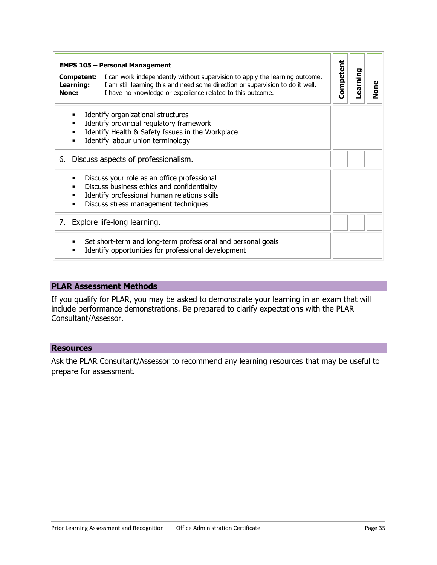|                                  | <b>EMPS 105 - Personal Management</b>                                                                                                                                                                                       |           |          |      |
|----------------------------------|-----------------------------------------------------------------------------------------------------------------------------------------------------------------------------------------------------------------------------|-----------|----------|------|
| Competent:<br>Learning:<br>None: | I can work independently without supervision to apply the learning outcome.<br>I am still learning this and need some direction or supervision to do it well.<br>I have no knowledge or experience related to this outcome. | Competent | earning- | None |
| ٠<br>٠<br>٠<br>٠                 | Identify organizational structures<br>Identify provincial regulatory framework<br>Identify Health & Safety Issues in the Workplace<br>Identify labour union terminology                                                     |           |          |      |
| 6.                               | Discuss aspects of professionalism.                                                                                                                                                                                         |           |          |      |
|                                  | Discuss your role as an office professional<br>Discuss business ethics and confidentiality<br>Identify professional human relations skills<br>Discuss stress management techniques                                          |           |          |      |
|                                  | 7. Explore life-long learning.                                                                                                                                                                                              |           |          |      |
|                                  | Set short-term and long-term professional and personal goals<br>Identify opportunities for professional development                                                                                                         |           |          |      |

If you qualify for PLAR, you may be asked to demonstrate your learning in an exam that will include performance demonstrations. Be prepared to clarify expectations with the PLAR Consultant/Assessor.

#### **Resources**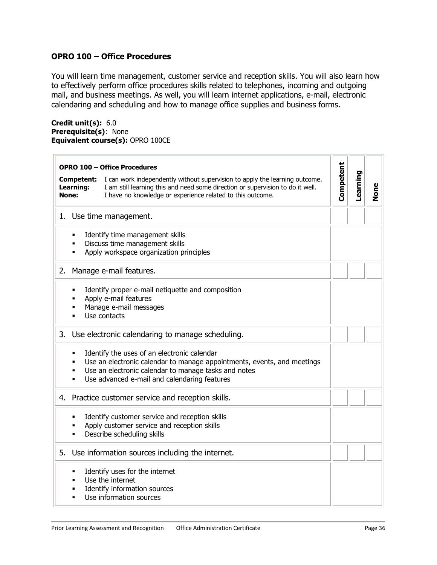# <span id="page-35-1"></span><span id="page-35-0"></span>**OPRO 100 – Office Procedures**

You will learn time management, customer service and reception skills. You will also learn how to effectively perform office procedures skills related to telephones, incoming and outgoing mail, and business meetings. As well, you will learn internet applications, e-mail, electronic calendaring and scheduling and how to manage office supplies and business forms.

**Credit unit(s):** 6.0 **Prerequisite(s)**: None **Equivalent course(s):** OPRO 100CE

| <b>OPRO 100 - Office Procedures</b>                                                                                                                                                                                                                                                       |           |          |             |
|-------------------------------------------------------------------------------------------------------------------------------------------------------------------------------------------------------------------------------------------------------------------------------------------|-----------|----------|-------------|
| I can work independently without supervision to apply the learning outcome.<br>Competent:<br>I am still learning this and need some direction or supervision to do it well.<br>Learning:<br>None:<br>I have no knowledge or experience related to this outcome.                           | Competent | Learning | <b>None</b> |
| 1. Use time management.                                                                                                                                                                                                                                                                   |           |          |             |
| Identify time management skills<br>٠<br>Discuss time management skills<br>٠<br>Apply workspace organization principles<br>٠                                                                                                                                                               |           |          |             |
| Manage e-mail features.<br>2.                                                                                                                                                                                                                                                             |           |          |             |
| Identify proper e-mail netiquette and composition<br>п<br>Apply e-mail features<br>Manage e-mail messages<br>٠<br>Use contacts                                                                                                                                                            |           |          |             |
| Use electronic calendaring to manage scheduling.<br>3.                                                                                                                                                                                                                                    |           |          |             |
| Identify the uses of an electronic calendar<br>$\blacksquare$<br>Use an electronic calendar to manage appointments, events, and meetings<br>$\blacksquare$<br>Use an electronic calendar to manage tasks and notes<br>٠<br>Use advanced e-mail and calendaring features<br>$\blacksquare$ |           |          |             |
| 4.<br>Practice customer service and reception skills.                                                                                                                                                                                                                                     |           |          |             |
| Identify customer service and reception skills<br>٠<br>Apply customer service and reception skills<br>Describe scheduling skills                                                                                                                                                          |           |          |             |
| Use information sources including the internet.<br>5.                                                                                                                                                                                                                                     |           |          |             |
| Identify uses for the internet<br>$\blacksquare$<br>Use the internet<br>٠<br>Identify information sources<br>Use information sources<br>$\blacksquare$                                                                                                                                    |           |          |             |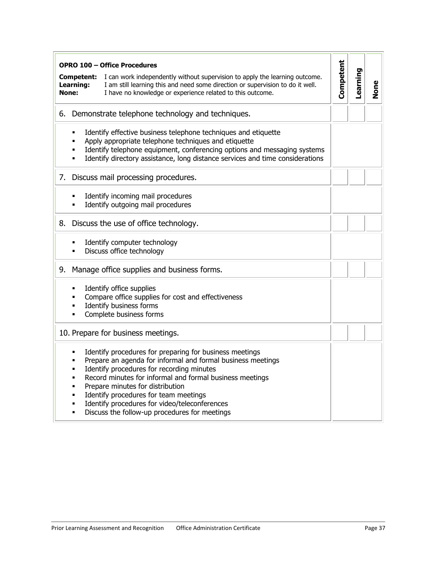| Learning:<br>None:         | <b>OPRO 100 - Office Procedures</b><br>Competent:<br>I can work independently without supervision to apply the learning outcome.<br>I am still learning this and need some direction or supervision to do it well.<br>I have no knowledge or experience related to this outcome.                                                                                                                               | Competent | Learning | None |
|----------------------------|----------------------------------------------------------------------------------------------------------------------------------------------------------------------------------------------------------------------------------------------------------------------------------------------------------------------------------------------------------------------------------------------------------------|-----------|----------|------|
| 6.                         | Demonstrate telephone technology and techniques.                                                                                                                                                                                                                                                                                                                                                               |           |          |      |
| ٠                          | Identify effective business telephone techniques and etiquette<br>Apply appropriate telephone techniques and etiquette<br>Identify telephone equipment, conferencing options and messaging systems<br>Identify directory assistance, long distance services and time considerations                                                                                                                            |           |          |      |
| 7.                         | Discuss mail processing procedures.                                                                                                                                                                                                                                                                                                                                                                            |           |          |      |
|                            | Identify incoming mail procedures<br>Identify outgoing mail procedures                                                                                                                                                                                                                                                                                                                                         |           |          |      |
| 8.                         | Discuss the use of office technology.                                                                                                                                                                                                                                                                                                                                                                          |           |          |      |
|                            | Identify computer technology<br>Discuss office technology                                                                                                                                                                                                                                                                                                                                                      |           |          |      |
| 9.                         | Manage office supplies and business forms.                                                                                                                                                                                                                                                                                                                                                                     |           |          |      |
| ٠                          | Identify office supplies<br>Compare office supplies for cost and effectiveness<br>Identify business forms<br>Complete business forms                                                                                                                                                                                                                                                                           |           |          |      |
|                            | 10. Prepare for business meetings.                                                                                                                                                                                                                                                                                                                                                                             |           |          |      |
| ٠<br>٠<br>п<br>٠<br>٠<br>٠ | Identify procedures for preparing for business meetings<br>Prepare an agenda for informal and formal business meetings<br>Identify procedures for recording minutes<br>Record minutes for informal and formal business meetings<br>Prepare minutes for distribution<br>Identify procedures for team meetings<br>Identify procedures for video/teleconferences<br>Discuss the follow-up procedures for meetings |           |          |      |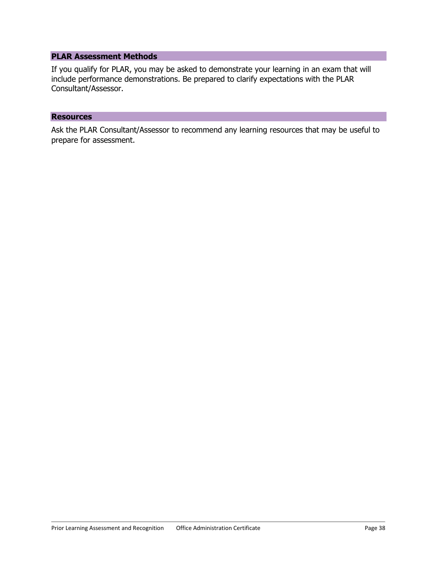If you qualify for PLAR, you may be asked to demonstrate your learning in an exam that will include performance demonstrations. Be prepared to clarify expectations with the PLAR Consultant/Assessor.

#### **Resources**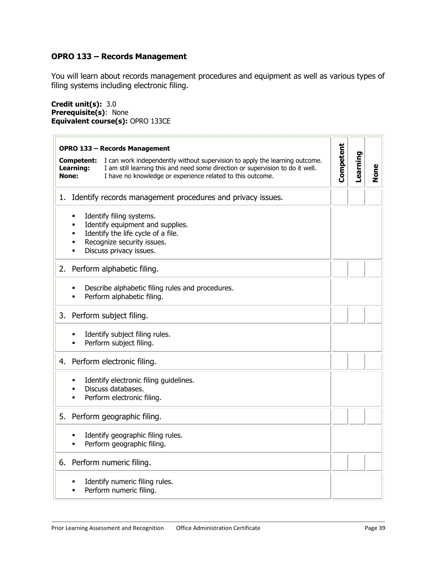# <span id="page-38-1"></span><span id="page-38-0"></span>**OPRO 133 – Records Management**

You will learn about records management procedures and equipment as well as various types of filing systems including electronic filing.

**Credit unit(s):** 3.0 **Prerequisite(s)**: None **Equivalent course(s):** OPRO 133CE

| <b>OPRO 133 - Records Management</b>                                                                                                                                                                                                                            |           |          |             |
|-----------------------------------------------------------------------------------------------------------------------------------------------------------------------------------------------------------------------------------------------------------------|-----------|----------|-------------|
| I can work independently without supervision to apply the learning outcome.<br>Competent:<br>I am still learning this and need some direction or supervision to do it well.<br>Learning:<br>I have no knowledge or experience related to this outcome.<br>None: | Competent | Learning | <b>None</b> |
| Identify records management procedures and privacy issues.<br>1.                                                                                                                                                                                                |           |          |             |
| Identify filing systems.<br>٠<br>Identify equipment and supplies.<br>Identify the life cycle of a file.<br>Recognize security issues.<br>Discuss privacy issues.                                                                                                |           |          |             |
| Perform alphabetic filing.<br>2.                                                                                                                                                                                                                                |           |          |             |
| Describe alphabetic filing rules and procedures.<br>Perform alphabetic filing.                                                                                                                                                                                  |           |          |             |
| 3.<br>Perform subject filing.                                                                                                                                                                                                                                   |           |          |             |
| Identify subject filing rules.<br>Perform subject filing.                                                                                                                                                                                                       |           |          |             |
| Perform electronic filing.<br>4.                                                                                                                                                                                                                                |           |          |             |
| Identify electronic filing guidelines.<br>Discuss databases.<br>Perform electronic filing.                                                                                                                                                                      |           |          |             |
| Perform geographic filing.<br>5.                                                                                                                                                                                                                                |           |          |             |
| Identify geographic filing rules.<br>Perform geographic filing.                                                                                                                                                                                                 |           |          |             |
| Perform numeric filing.<br>6.                                                                                                                                                                                                                                   |           |          |             |
| Identify numeric filing rules.<br>Perform numeric filing.                                                                                                                                                                                                       |           |          |             |